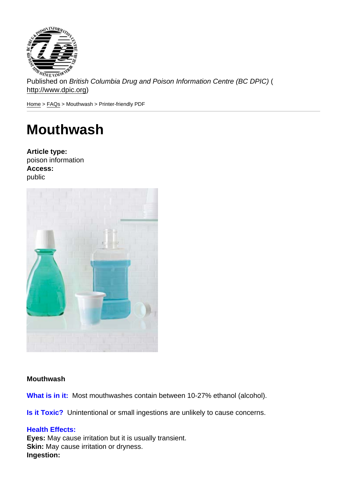Published on British Columbia Drug and Poison Information Centre (BC DPIC) ( http://www.dpic.org)

Home > FAQs > Mouthwash > Printer-friendly PDF

## [Mo](http://www.dpic.org/)[uth](http://www.dpic.org/faq)wash

Article type: poison information Access: public

**Mouthwash** 

What is in it: Most mouthwashes contain between 10-27% ethanol (alcohol).

Is it Toxic? Unintentional or small ingestions are unlikely to cause concerns.

## Health Effects:

Eyes: May cause irritation but it is usually transient. Skin: May cause irritation or dryness. Ingestion: